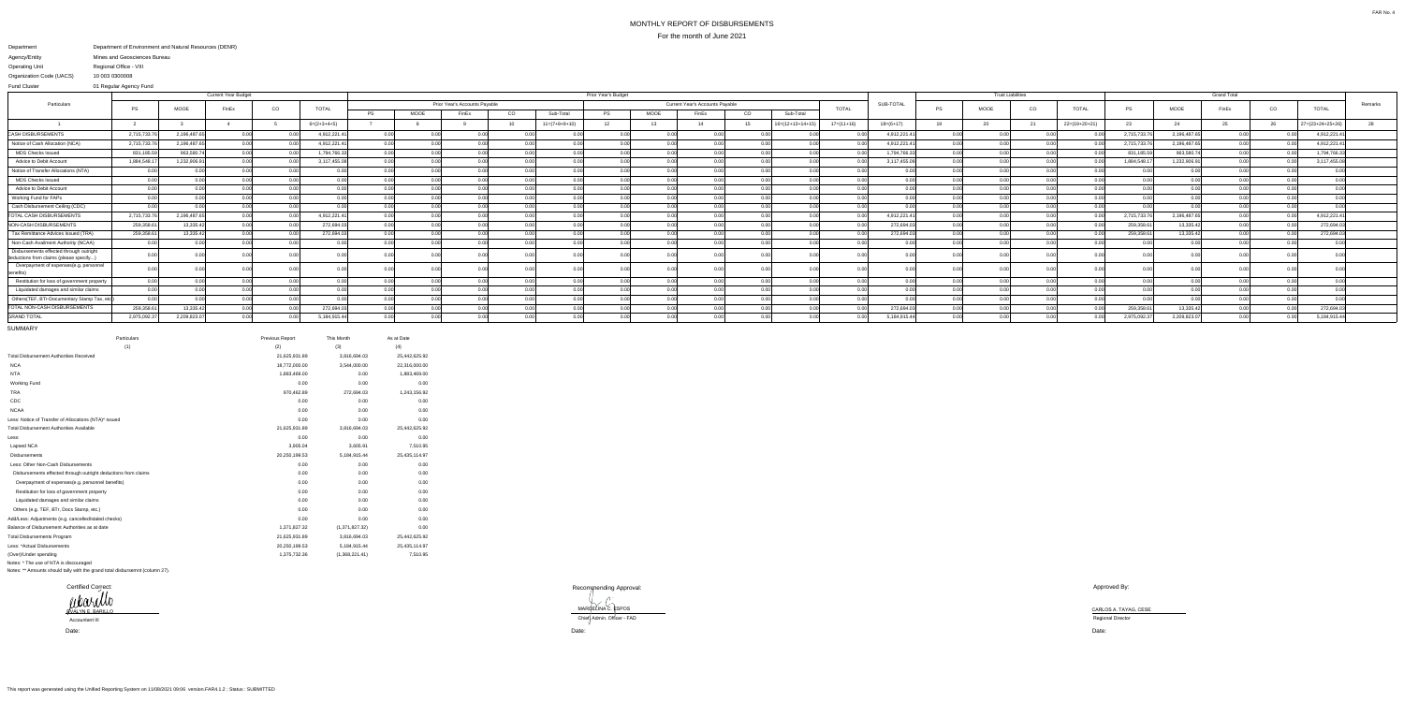## MONTHLY REPORT OF DISBURSEMENTSFor the month of June 2021

MARGELINA C. ESPOS<br>Chief Admin. Officer - FAD

## Department Agency/EntityOperating Unit Department of Environment and Natural Resources (DENR) Mines and Geosciences BureauRegional Office - VIII

Organization Code (UACS) 10 003 0300008

 01 Regular Agency FundFund Cluster

|                                                                                   |              |             | <b>Current Year Budget</b> |                   |               |           | Prior Year's Budget |       |      |                 |                               |      |                |       |                                                 |              |              |    | <b>Trust Liabilities</b> |      |               |             |              |       |              |                  |  |  |    |              |         |
|-----------------------------------------------------------------------------------|--------------|-------------|----------------------------|-------------------|---------------|-----------|---------------------|-------|------|-----------------|-------------------------------|------|----------------|-------|-------------------------------------------------|--------------|--------------|----|--------------------------|------|---------------|-------------|--------------|-------|--------------|------------------|--|--|----|--------------|---------|
| Particulars                                                                       |              |             |                            |                   |               |           | <b>TOTAL</b>        |       |      |                 | Prior Year's Accounts Payable |      |                |       | Current Year's Accounts Payable<br><b>TOTAL</b> |              |              |    |                          |      |               | <b>PS</b>   | MOOE         |       | <b>TOTAL</b> |                  |  |  | CO | <b>TOTAL</b> | Remarks |
|                                                                                   | PS           | MOOE        | FinEx                      | CO                |               | <b>PS</b> | <b>MOOE</b>         | FinEx | CO   | Sub-Total       | <b>PS</b>                     | MOOE | FinEx          | CO    | Sub-Total                                       |              |              |    |                          | CO   |               | PS          | MOOE         | FinEx |              |                  |  |  |    |              |         |
|                                                                                   |              |             |                            |                   | $6=(2+3+4+5)$ |           |                     |       |      | $11=(7+8+9+10)$ | 12                            | 13   | 14             |       | $16=(12+13+14+19)$                              | $17=(11+16)$ | $18=(6+17)$  | 19 | 20                       | 21   | 22=(19+20+21) | 23          | 24           |       | 26           | 27=(23+24+25+26) |  |  |    |              |         |
| <b>CASH DISBURSEMENTS</b>                                                         | 2,715,733.7  | 2,196,487.  | 0.00                       | 0.00              | 4,912,221.41  | 0.00      |                     | 0.OO  |      | - O.OC          | 0.00                          | 0.00 |                | n nni |                                                 | n nr         | 4,912,221.4  |    |                          |      |               | 2,715,733.  | 2,196,487.65 | 0.00  | 0.00L        | 4,912,221.4      |  |  |    |              |         |
| Notice of Cash Allocation (NCA)                                                   | 2,715,733.7  | 2,196,487.  | 0.001                      |                   | 4,912,221.41  | 0.00      |                     |       |      |                 |                               | 0.00 |                |       |                                                 |              | 4,912,221.4  |    |                          |      |               | 2,715,733.  | 2,196,487.65 | 0.00  |              | 4,912,221.4      |  |  |    |              |         |
| <b>MDS Checks Issued</b>                                                          | 831,185.59   | 963,580.    |                            |                   | 1,794,766.33  | 0.00      |                     |       |      |                 |                               | 0.0( |                |       |                                                 |              | 1,794,766.33 |    |                          |      |               | 831,185.5   | 963,580.74   | 0.00  |              | 1,794,766.33     |  |  |    |              |         |
| Advice to Debit Account                                                           | 1,884,548.17 | 1,232,906.9 | 0.00L                      | 0.00 <sup>1</sup> | 3,117,455.08  | 0.00      |                     |       | 0.00 | 0 U U           | n nr                          | 0.00 | 0.00           | n nnl |                                                 |              | 3,117,455.08 |    |                          | n nr |               | 1,884,548.1 | 1,232,906.91 | 0.00  |              | 3,117,455.08     |  |  |    |              |         |
| Notice of Transfer Allocations (NTA)                                              |              |             | 0.00                       | 0.00 <sup>1</sup> | 0.00          | 0.00      | ስ ስስ                |       | 0.00 | 0.00            | 0.OC                          | 0.00 | 0 <sub>0</sub> | n nnl |                                                 | 0.00         | 0.00         |    |                          | 0.00 |               |             | 0.00         | 0.00  | 0.00         |                  |  |  |    |              |         |
| <b>MDS Checks Issued</b>                                                          | 0.00         |             | 0.00                       | 0.00              | 0.001         | 0.00      |                     | 0.00  |      | 0.00            | 0.00                          | 0.00 |                | 0.00  |                                                 | 0.00         | 0.00         |    |                          | 0.00 | 0.00          |             | $0.00\,$     | 0.00  | 0.00         | 0.00             |  |  |    |              |         |
| Advice to Debit Account                                                           |              |             |                            |                   |               | 0.00      |                     |       |      |                 |                               | 0.00 |                |       |                                                 |              |              |    |                          |      |               |             | 0.00         |       |              |                  |  |  |    |              |         |
| Working Fund for FAPs                                                             |              |             |                            |                   |               | 0.00      |                     |       |      |                 |                               | 0.00 |                |       |                                                 |              |              |    |                          |      |               |             | 0.00         |       |              |                  |  |  |    |              |         |
| Cash Disbursement Ceiling (CDC)                                                   | 0.00         |             | n nn                       | n nn              | n nn          | 0.00      |                     |       |      |                 |                               | 0.00 |                | n nnl |                                                 | 0.00         |              |    |                          | n nr |               |             | n nnl        |       | n nr         | <u>ሰ በ</u>       |  |  |    |              |         |
| <b>TOTAL CASH DISBURSEMENTS</b>                                                   | 2,715,733.76 | 2,196,487.6 | 0.00                       |                   | 4,912,221.41  | 0.00      |                     |       |      |                 |                               | n nn |                | n nnl |                                                 | 0.00         | 4,912,221.4  |    |                          |      |               | 2,715,733.  | 2,196,487.65 | 0.00  |              | 4,912,221.4      |  |  |    |              |         |
| NON-CASH DISBURSEMENTS                                                            | 259,358.61   | 13,335.42   | 0.00                       |                   | 272,694.03    | 0.00      |                     |       |      | 0.00            |                               | 0.00 |                |       |                                                 |              | 272,694.03   |    |                          |      |               | 259,358.6   | 13,335.42    | 0.00  |              | 272,694.03       |  |  |    |              |         |
| Tax Remittance Advices Issued (TRA)                                               | 259,358.61   | 13,335.42   |                            |                   | 272,694.03    | 0.00      |                     |       |      | 0.O             |                               | 0.0( |                |       |                                                 |              | 272,694.03   |    |                          |      |               | 259,358.6   | 13,335.42    | 0.00  |              | 272,694.03       |  |  |    |              |         |
| Non-Cash Availment Authority (NCAA)                                               | 0.00         |             |                            | ስ ስስ              |               | 0.00      |                     |       |      |                 |                               | 0.00 |                |       |                                                 |              | 0.00         |    |                          | n nr |               |             | 0.00L        | 0.00  |              | 0.00             |  |  |    |              |         |
| Disbursements effected through outright<br>deductions from claims (please specify | 0.00         |             |                            |                   |               | 0.00      |                     |       |      | . റ.റ           |                               | 0.00 |                |       |                                                 |              | 0.00         |    |                          |      |               |             | 0.001        |       |              |                  |  |  |    |              |         |
| Overpayment of expenses(e.g. personnel                                            |              |             |                            |                   |               |           |                     |       |      |                 |                               |      |                |       |                                                 |              |              |    |                          |      |               |             |              |       |              |                  |  |  |    |              |         |
| Restitution for loss of government property                                       |              |             | 0.00                       | n nn              | n nn          | 0.00      |                     |       |      |                 |                               | 0.00 |                |       |                                                 | 0.00         |              |    |                          | n nr |               |             | 0.00         |       | n nr         | 0.00             |  |  |    |              |         |
| Liquidated damages and similar claims                                             | 0.00         |             | 0.00                       | 0.00              | ი იი          | 0.00      |                     |       |      | 0.00            |                               | 0.00 |                | 0.001 |                                                 | n nn         | 0.00         |    |                          | 0.00 |               |             | 0.00         |       | n nr         | 0.00             |  |  |    |              |         |
| Others(TEF, BTr-Documentary Stamp Tax, etc                                        |              |             |                            |                   |               | 0.00      |                     |       |      |                 |                               |      |                |       |                                                 |              |              |    |                          |      |               |             | וחח ר        |       |              |                  |  |  |    |              |         |
| <b>TOTAL NON-CASH DISBURSEMENTS</b>                                               | 259,358.61   | 13,335.42   |                            | 0.00              | 272,694.03    | 0.00      |                     |       |      |                 |                               | 0.00 |                |       |                                                 |              | 272,694.03   |    |                          |      |               | 259,358.    | 13,335.42    |       |              | 272,694.0        |  |  |    |              |         |
| <b>GRAND TOTAL</b>                                                                | 2,975,092.37 | 2,209,823.0 | 0.00                       | 0.00 <sub>l</sub> | 5,184,915.44  | 0.00      |                     |       |      |                 |                               | 0.00 |                |       |                                                 | 0.00         | 5,184,915.44 |    |                          | 0.00 |               | 2,975,092.  | 2,209,823.07 | 0.00  |              | 5,184,915.44     |  |  |    |              |         |

MARQELINA C. ESPOS CARLOS A. TAYAG, CESE Regional Director

SUMMARY

| <b>Particulars</b>                                             | Previous Report | This Month     | As at Date    |
|----------------------------------------------------------------|-----------------|----------------|---------------|
| (1)                                                            | (2)             | (3)            | (4)           |
| <b>Total Disbursement Authorities Received</b>                 | 21,625,931.89   | 3,816,694.03   | 25,442,625.92 |
| <b>NCA</b>                                                     | 18,772,000.00   | 3,544,000.00   | 22,316,000.00 |
| <b>NTA</b>                                                     | 1,883,469.00    | 0.00           | 1,883,469.00  |
| <b>Working Fund</b>                                            | 0.00            | 0.00           | 0.00          |
| <b>TRA</b>                                                     | 970,462.89      | 272,694.03     | 1,243,156.92  |
| CDC                                                            | 0.00            | 0.00           | 0.00          |
| <b>NCAA</b>                                                    | 0.00            | 0.00           | 0.00          |
| Less: Notice of Transfer of Allocations (NTA)* issued          | 0.00            | 0.00           | 0.00          |
| <b>Total Disbursement Authorities Available</b>                | 21,625,931.89   | 3,816,694.03   | 25,442,625.92 |
| Less:                                                          | 0.00            | 0.00           | 0.00          |
| Lapsed NCA                                                     | 3,905.04        | 3,605.91       | 7,510.95      |
| <b>Disbursements</b>                                           | 20,250,199.53   | 5,184,915.44   | 25,435,114.97 |
| Less: Other Non-Cash Disbursements                             | 0.00            | 0.00           | 0.00          |
| Disbursements effected through outright deductions from claims | 0.00            | 0.00           | 0.00          |
| Overpayment of expenses(e.g. personnel benefits)               | 0.00            | 0.00           | 0.00          |
| Restitution for loss of government property                    | 0.00            | 0.00           | 0.00          |
| Liquidated damages and similar claims                          | 0.00            | 0.00           | 0.00          |
| Others (e.g. TEF, BTr, Docs Stamp, etc.)                       | 0.00            | 0.00           | 0.00          |
| Add/Less: Adjustments (e.g. cancelled/staled checks)           | 0.00            | 0.00           | 0.00          |
| Balance of Disbursement Authorities as at date                 | 1,371,827.32    | (1,371,827.32) | 0.00          |
| <b>Total Disbursements Program</b>                             | 21,625,931.89   | 3,816,694.03   | 25,442,625.92 |
| Less: *Actual Disbursements                                    | 20,250,199.53   | 5,184,915.44   | 25,435,114.97 |
| (Over)/Under spending                                          | 1,375,732.36    | (1,368,221.41) | 7,510.95      |
| Notes: * The use of NTA is discouraged                         |                 |                |               |

Notes: \*\* Amounts should tally with the grand total disbursemnt (column 27).

Approved By:

Date:

Date: Date:

Certified Correct:Certified Correct:<br> **WOUWED** EVALYN E. BARILLO

Accountant III